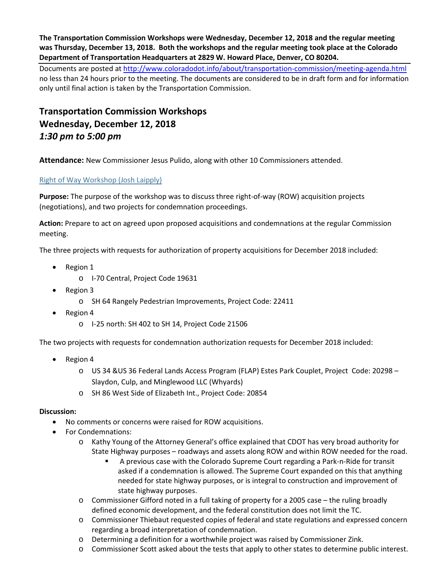**The Transportation Commission Workshops were Wednesday, December 12, 2018 and the regular meeting was Thursday, December 13, 2018. Both the workshops and the regular meeting took place at the Colorado Department of Transportation Headquarters at 2829 W. Howard Place, Denver, CO 80204.**

Documents are posted at http://www.coloradodot.info/about/transportation-commission/meeting-agenda.html no less than 24 hours prior to the meeting. The documents are considered to be in draft form and for information only until final action is taken by the Transportation Commission.

# **Transportation Commission Workshops Wednesday, December 12, 2018** *1:30 pm to 5:00 pm*

**Attendance:** New Commissioner Jesus Pulido, along with other 10 Commissioners attended.

## [Right of Way Workshop \(Josh Laipply\)](https://www.codot.gov/about/transportation-commission/documents/2018-agendas-and-supporting-documents/december-2018/tc-row-2018-12-final.pdf)

**Purpose:** The purpose of the workshop was to discuss three right-of-way (ROW) acquisition projects (negotiations), and two projects for condemnation proceedings.

**Action:** Prepare to act on agreed upon proposed acquisitions and condemnations at the regular Commission meeting.

The three projects with requests for authorization of property acquisitions for December 2018 included:

- Region 1
	- o I-70 Central, Project Code 19631
- Region 3
	- o SH 64 Rangely Pedestrian Improvements, Project Code: 22411
- Region 4
	- o I-25 north: SH 402 to SH 14, Project Code 21506

The two projects with requests for condemnation authorization requests for December 2018 included:

- Region 4
	- o US 34 &US 36 Federal Lands Access Program (FLAP) Estes Park Couplet, Project Code: 20298 Slaydon, Culp, and Minglewood LLC (Whyards)
	- o SH 86 West Side of Elizabeth Int., Project Code: 20854

- No comments or concerns were raised for ROW acquisitions.
- For Condemnations:
	- o Kathy Young of the Attorney General's office explained that CDOT has very broad authority for State Highway purposes – roadways and assets along ROW and within ROW needed for the road.
		- A previous case with the Colorado Supreme Court regarding a Park-n-Ride for transit asked if a condemnation is allowed. The Supreme Court expanded on this that anything needed for state highway purposes, or is integral to construction and improvement of state highway purposes.
	- o Commissioner Gifford noted in a full taking of property for a 2005 case the ruling broadly defined economic development, and the federal constitution does not limit the TC.
	- o Commissioner Thiebaut requested copies of federal and state regulations and expressed concern regarding a broad interpretation of condemnation.
	- o Determining a definition for a worthwhile project was raised by Commissioner Zink.
	- o Commissioner Scott asked about the tests that apply to other states to determine public interest.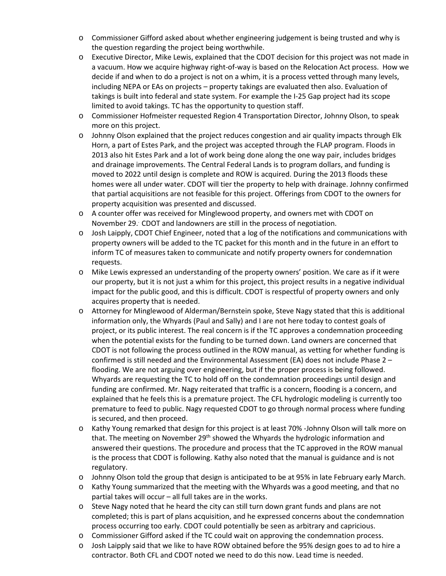- o Commissioner Gifford asked about whether engineering judgement is being trusted and why is the question regarding the project being worthwhile.
- o Executive Director, Mike Lewis, explained that the CDOT decision for this project was not made in a vacuum. How we acquire highway right-of-way is based on the Relocation Act process. How we decide if and when to do a project is not on a whim, it is a process vetted through many levels, including NEPA or EAs on projects – property takings are evaluated then also. Evaluation of takings is built into federal and state system. For example the I-25 Gap project had its scope limited to avoid takings. TC has the opportunity to question staff.
- o Commissioner Hofmeister requested Region 4 Transportation Director, Johnny Olson, to speak more on this project.
- o Johnny Olson explained that the project reduces congestion and air quality impacts through Elk Horn, a part of Estes Park, and the project was accepted through the FLAP program. Floods in 2013 also hit Estes Park and a lot of work being done along the one way pair, includes bridges and drainage improvements. The Central Federal Lands is to program dollars, and funding is moved to 2022 until design is complete and ROW is acquired. During the 2013 floods these homes were all under water. CDOT will tier the property to help with drainage. Johnny confirmed that partial acquisitions are not feasible for this project. Offerings from CDOT to the owners for property acquisition was presented and discussed.
- o A counter offer was received for Minglewood property, and owners met with CDOT on November 29. . CDOT and landowners are still in the process of negotiation.
- o Josh Laipply, CDOT Chief Engineer, noted that a log of the notifications and communications with property owners will be added to the TC packet for this month and in the future in an effort to inform TC of measures taken to communicate and notify property owners for condemnation requests.
- o Mike Lewis expressed an understanding of the property owners' position. We care as if it were our property, but it is not just a whim for this project, this project results in a negative individual impact for the public good, and this is difficult. CDOT is respectful of property owners and only acquires property that is needed.
- o Attorney for Minglewood of Alderman/Bernstein spoke, Steve Nagy stated that this is additional information only, the Whyards (Paul and Sally) and I are not here today to contest goals of project, or its public interest. The real concern is if the TC approves a condemnation proceeding when the potential exists for the funding to be turned down. Land owners are concerned that CDOT is not following the process outlined in the ROW manual, as vetting for whether funding is confirmed is still needed and the Environmental Assessment (EA) does not include Phase 2 – flooding. We are not arguing over engineering, but if the proper process is being followed. Whyards are requesting the TC to hold off on the condemnation proceedings until design and funding are confirmed. Mr. Nagy reiterated that traffic is a concern, flooding is a concern, and explained that he feels this is a premature project. The CFL hydrologic modeling is currently too premature to feed to public. Nagy requested CDOT to go through normal process where funding is secured, and then proceed.
- o Kathy Young remarked that design for this project is at least 70% -Johnny Olson will talk more on that. The meeting on November 29<sup>th</sup> showed the Whyards the hydrologic information and answered their questions. The procedure and process that the TC approved in the ROW manual is the process that CDOT is following. Kathy also noted that the manual is guidance and is not regulatory.
- o Johnny Olson told the group that design is anticipated to be at 95% in late February early March.
- o Kathy Young summarized that the meeting with the Whyards was a good meeting, and that no partial takes will occur – all full takes are in the works.
- $\circ$  Steve Nagy noted that he heard the city can still turn down grant funds and plans are not completed; this is part of plans acquisition, and he expressed concerns about the condemnation process occurring too early. CDOT could potentially be seen as arbitrary and capricious.
- o Commissioner Gifford asked if the TC could wait on approving the condemnation process.
- o Josh Laipply said that we like to have ROW obtained before the 95% design goes to ad to hire a contractor. Both CFL and CDOT noted we need to do this now. Lead time is needed.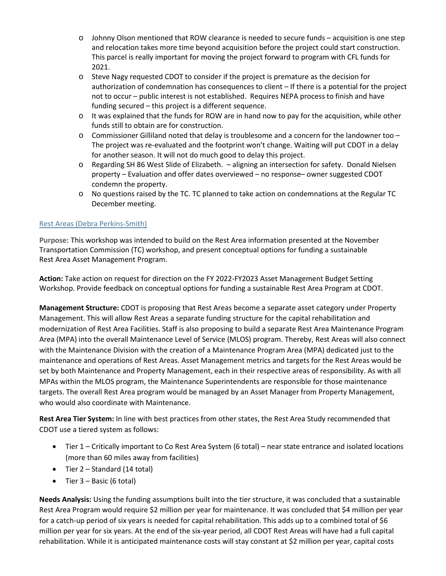- $\circ$  Johnny Olson mentioned that ROW clearance is needed to secure funds acquisition is one step and relocation takes more time beyond acquisition before the project could start construction. This parcel is really important for moving the project forward to program with CFL funds for 2021.
- o Steve Nagy requested CDOT to consider if the project is premature as the decision for authorization of condemnation has consequences to client – If there is a potential for the project not to occur – public interest is not established. Requires NEPA process to finish and have funding secured – this project is a different sequence.
- o It was explained that the funds for ROW are in hand now to pay for the acquisition, while other funds still to obtain are for construction.
- $\circ$  Commissioner Gilliland noted that delay is troublesome and a concern for the landowner too The project was re-evaluated and the footprint won't change. Waiting will put CDOT in a delay for another season. It will not do much good to delay this project.
- o Regarding SH 86 West Slide of Elizabeth. aligning an intersection for safety. Donald Nielsen property – Evaluation and offer dates overviewed – no response– owner suggested CDOT condemn the property.
- $\circ$  No questions raised by the TC. TC planned to take action on condemnations at the Regular TC December meeting.

# [Rest Areas \(Debra Perkins-Smith\)](https://www.codot.gov/about/transportation-commission/documents/2018-agendas-and-supporting-documents/december-2018/1-rest-areas.pdf)

**Purpose:** This workshop was intended to build on the Rest Area information presented at the November Transportation Commission (TC) workshop, and present conceptual options for funding a sustainable Rest Area Asset Management Program.

**Action:** Take action on request for direction on the FY 2022-FY2023 Asset Management Budget Setting Workshop. Provide feedback on conceptual options for funding a sustainable Rest Area Program at CDOT.

**Management Structure:** CDOT is proposing that Rest Areas become a separate asset category under Property Management. This will allow Rest Areas a separate funding structure for the capital rehabilitation and modernization of Rest Area Facilities. Staff is also proposing to build a separate Rest Area Maintenance Program Area (MPA) into the overall Maintenance Level of Service (MLOS) program. Thereby, Rest Areas will also connect with the Maintenance Division with the creation of a Maintenance Program Area (MPA) dedicated just to the maintenance and operations of Rest Areas. Asset Management metrics and targets for the Rest Areas would be set by both Maintenance and Property Management, each in their respective areas of responsibility. As with all MPAs within the MLOS program, the Maintenance Superintendents are responsible for those maintenance targets. The overall Rest Area program would be managed by an Asset Manager from Property Management, who would also coordinate with Maintenance.

**Rest Area Tier System:** In line with best practices from other states, the Rest Area Study recommended that CDOT use a tiered system as follows:

- Tier 1 Critically important to Co Rest Area System (6 total) near state entrance and isolated locations (more than 60 miles away from facilities)
- Tier 2 Standard (14 total)
- Tier 3 Basic (6 total)

**Needs Analysis:** Using the funding assumptions built into the tier structure, it was concluded that a sustainable Rest Area Program would require \$2 million per year for maintenance. It was concluded that \$4 million per year for a catch-up period of six years is needed for capital rehabilitation. This adds up to a combined total of \$6 million per year for six years. At the end of the six-year period, all CDOT Rest Areas will have had a full capital rehabilitation. While it is anticipated maintenance costs will stay constant at \$2 million per year, capital costs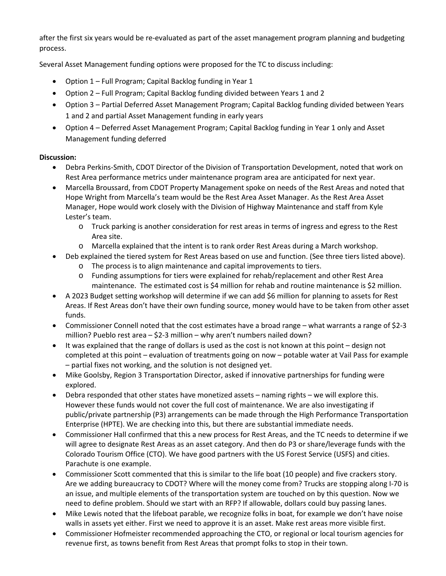after the first six years would be re-evaluated as part of the asset management program planning and budgeting process.

Several Asset Management funding options were proposed for the TC to discuss including:

- Option 1 Full Program; Capital Backlog funding in Year 1
- Option 2 Full Program; Capital Backlog funding divided between Years 1 and 2
- Option 3 Partial Deferred Asset Management Program; Capital Backlog funding divided between Years 1 and 2 and partial Asset Management funding in early years
- Option 4 Deferred Asset Management Program; Capital Backlog funding in Year 1 only and Asset Management funding deferred

- Debra Perkins-Smith, CDOT Director of the Division of Transportation Development, noted that work on Rest Area performance metrics under maintenance program area are anticipated for next year.
- Marcella Broussard, from CDOT Property Management spoke on needs of the Rest Areas and noted that Hope Wright from Marcella's team would be the Rest Area Asset Manager. As the Rest Area Asset Manager, Hope would work closely with the Division of Highway Maintenance and staff from Kyle Lester's team.
	- o Truck parking is another consideration for rest areas in terms of ingress and egress to the Rest Area site.
	- o Marcella explained that the intent is to rank order Rest Areas during a March workshop.
- Deb explained the tiered system for Rest Areas based on use and function. (See three tiers listed above).
	- o The process is to align maintenance and capital improvements to tiers.
	- o Funding assumptions for tiers were explained for rehab/replacement and other Rest Area maintenance. The estimated cost is \$4 million for rehab and routine maintenance is \$2 million.
- A 2023 Budget setting workshop will determine if we can add \$6 million for planning to assets for Rest Areas. If Rest Areas don't have their own funding source, money would have to be taken from other asset funds.
- Commissioner Connell noted that the cost estimates have a broad range what warrants a range of \$2-3 million? Pueblo rest area – \$2-3 million – why aren't numbers nailed down?
- It was explained that the range of dollars is used as the cost is not known at this point design not completed at this point – evaluation of treatments going on now – potable water at Vail Pass for example – partial fixes not working, and the solution is not designed yet.
- Mike Goolsby, Region 3 Transportation Director, asked if innovative partnerships for funding were explored.
- Debra responded that other states have monetized assets naming rights we will explore this. However these funds would not cover the full cost of maintenance. We are also investigating if public/private partnership (P3) arrangements can be made through the High Performance Transportation Enterprise (HPTE). We are checking into this, but there are substantial immediate needs.
- Commissioner Hall confirmed that this a new process for Rest Areas, and the TC needs to determine if we will agree to designate Rest Areas as an asset category. And then do P3 or share/leverage funds with the Colorado Tourism Office (CTO). We have good partners with the US Forest Service (USFS) and cities. Parachute is one example.
- Commissioner Scott commented that this is similar to the life boat (10 people) and five crackers story. Are we adding bureaucracy to CDOT? Where will the money come from? Trucks are stopping along I-70 is an issue, and multiple elements of the transportation system are touched on by this question. Now we need to define problem. Should we start with an RFP? If allowable, dollars could buy passing lanes.
- Mike Lewis noted that the lifeboat parable, we recognize folks in boat, for example we don't have noise walls in assets yet either. First we need to approve it is an asset. Make rest areas more visible first.
- Commissioner Hofmeister recommended approaching the CTO, or regional or local tourism agencies for revenue first, as towns benefit from Rest Areas that prompt folks to stop in their town.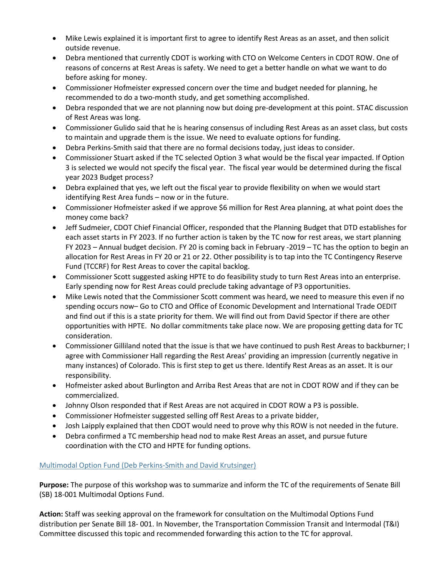- Mike Lewis explained it is important first to agree to identify Rest Areas as an asset, and then solicit outside revenue.
- Debra mentioned that currently CDOT is working with CTO on Welcome Centers in CDOT ROW. One of reasons of concerns at Rest Areas is safety. We need to get a better handle on what we want to do before asking for money.
- Commissioner Hofmeister expressed concern over the time and budget needed for planning, he recommended to do a two-month study, and get something accomplished.
- Debra responded that we are not planning now but doing pre-development at this point. STAC discussion of Rest Areas was long.
- Commissioner Gulido said that he is hearing consensus of including Rest Areas as an asset class, but costs to maintain and upgrade them is the issue. We need to evaluate options for funding.
- Debra Perkins-Smith said that there are no formal decisions today, just ideas to consider.
- Commissioner Stuart asked if the TC selected Option 3 what would be the fiscal year impacted. If Option 3 is selected we would not specify the fiscal year. The fiscal year would be determined during the fiscal year 2023 Budget process?
- Debra explained that yes, we left out the fiscal year to provide flexibility on when we would start identifying Rest Area funds – now or in the future.
- Commissioner Hofmeister asked if we approve \$6 million for Rest Area planning, at what point does the money come back?
- Jeff Sudmeier, CDOT Chief Financial Officer, responded that the Planning Budget that DTD establishes for each asset starts in FY 2023. If no further action is taken by the TC now for rest areas, we start planning FY 2023 – Annual budget decision. FY 20 is coming back in February -2019 – TC has the option to begin an allocation for Rest Areas in FY 20 or 21 or 22. Other possibility is to tap into the TC Contingency Reserve Fund (TCCRF) for Rest Areas to cover the capital backlog.
- Commissioner Scott suggested asking HPTE to do feasibility study to turn Rest Areas into an enterprise. Early spending now for Rest Areas could preclude taking advantage of P3 opportunities.
- Mike Lewis noted that the Commissioner Scott comment was heard, we need to measure this even if no spending occurs now– Go to CTO and Office of Economic Development and International Trade OEDIT and find out if this is a state priority for them. We will find out from David Spector if there are other opportunities with HPTE. No dollar commitments take place now. We are proposing getting data for TC consideration.
- Commissioner Gilliland noted that the issue is that we have continued to push Rest Areas to backburner; I agree with Commissioner Hall regarding the Rest Areas' providing an impression (currently negative in many instances) of Colorado. This is first step to get us there. Identify Rest Areas as an asset. It is our responsibility.
- Hofmeister asked about Burlington and Arriba Rest Areas that are not in CDOT ROW and if they can be commercialized.
- Johnny Olson responded that if Rest Areas are not acquired in CDOT ROW a P3 is possible.
- Commissioner Hofmeister suggested selling off Rest Areas to a private bidder,
- Josh Laipply explained that then CDOT would need to prove why this ROW is not needed in the future.
- Debra confirmed a TC membership head nod to make Rest Areas an asset, and pursue future coordination with the CTO and HPTE for funding options.

## [Multimodal Option Fund \(Deb Perkins-Smith and David Krutsinger\)](https://www.codot.gov/about/transportation-commission/documents/2018-agendas-and-supporting-documents/december-2018/2-multimodal-option-fund.pdf)

**Purpose:** The purpose of this workshop was to summarize and inform the TC of the requirements of Senate Bill (SB) 18-001 Multimodal Options Fund.

**Action:** Staff was seeking approval on the framework for consultation on the Multimodal Options Fund distribution per Senate Bill 18- 001. In November, the Transportation Commission Transit and Intermodal (T&I) Committee discussed this topic and recommended forwarding this action to the TC for approval.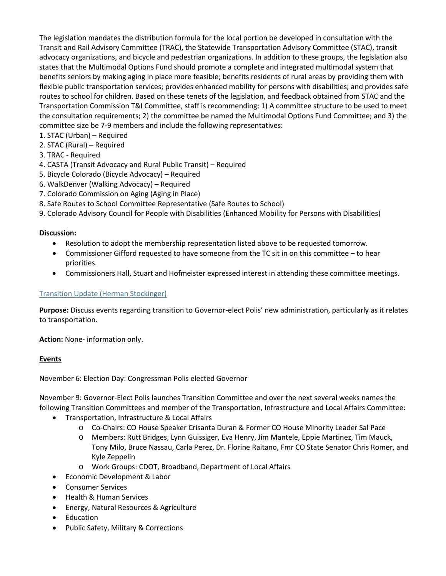The legislation mandates the distribution formula for the local portion be developed in consultation with the Transit and Rail Advisory Committee (TRAC), the Statewide Transportation Advisory Committee (STAC), transit advocacy organizations, and bicycle and pedestrian organizations. In addition to these groups, the legislation also states that the Multimodal Options Fund should promote a complete and integrated multimodal system that benefits seniors by making aging in place more feasible; benefits residents of rural areas by providing them with flexible public transportation services; provides enhanced mobility for persons with disabilities; and provides safe routes to school for children. Based on these tenets of the legislation, and feedback obtained from STAC and the Transportation Commission T&I Committee, staff is recommending: 1) A committee structure to be used to meet the consultation requirements; 2) the committee be named the Multimodal Options Fund Committee; and 3) the committee size be 7-9 members and include the following representatives:

- 1. STAC (Urban) Required
- 2. STAC (Rural) Required
- 3. TRAC Required
- 4. CASTA (Transit Advocacy and Rural Public Transit) Required
- 5. Bicycle Colorado (Bicycle Advocacy) Required
- 6. WalkDenver (Walking Advocacy) Required
- 7. Colorado Commission on Aging (Aging in Place)
- 8. Safe Routes to School Committee Representative (Safe Routes to School)
- 9. Colorado Advisory Council for People with Disabilities (Enhanced Mobility for Persons with Disabilities)

### **Discussion:**

- Resolution to adopt the membership representation listed above to be requested tomorrow.
- Commissioner Gifford requested to have someone from the TC sit in on this committee to hear priorities.
- Commissioners Hall, Stuart and Hofmeister expressed interest in attending these committee meetings.

## [Transition Update \(Herman Stockinger\)](https://www.codot.gov/about/transportation-commission/documents/2018-agendas-and-supporting-documents/november-2018-1/6-rest-areas.pdf)

**Purpose:** Discuss events regarding transition to Governor-elect Polis' new administration, particularly as it relates to transportation.

**Action:** None- information only.

### **Events**

November 6: Election Day: Congressman Polis elected Governor

November 9: Governor-Elect Polis launches Transition Committee and over the next several weeks names the following Transition Committees and member of the Transportation, Infrastructure and Local Affairs Committee:

- Transportation, Infrastructure & Local Affairs
	- o Co-Chairs: CO House Speaker Crisanta Duran & Former CO House Minority Leader Sal Pace
	- o Members: Rutt Bridges, Lynn Guissiger, Eva Henry, Jim Mantele, Eppie Martinez, Tim Mauck, Tony Milo, Bruce Nassau, Carla Perez, Dr. Florine Raitano, Fmr CO State Senator Chris Romer, and Kyle Zeppelin
	- o Work Groups: CDOT, Broadband, Department of Local Affairs
- Economic Development & Labor
- Consumer Services
- Health & Human Services
- Energy, Natural Resources & Agriculture
- Education
- Public Safety, Military & Corrections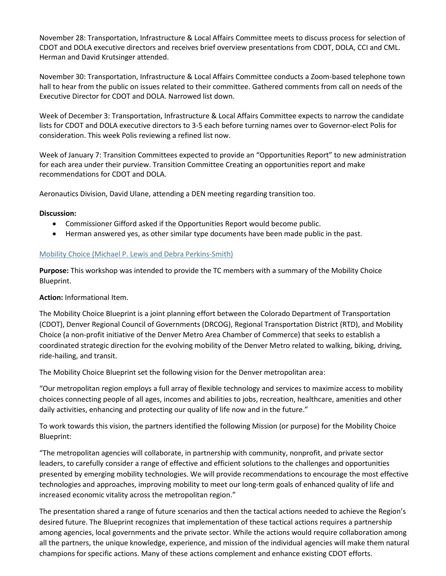November 28: Transportation, Infrastructure & Local Affairs Committee meets to discuss process for selection of CDOT and DOLA executive directors and receives brief overview presentations from CDOT, DOLA, CCI and CML. Herman and David Krutsinger attended.

November 30: Transportation, Infrastructure & Local Affairs Committee conducts a Zoom-based telephone town hall to hear from the public on issues related to their committee. Gathered comments from call on needs of the Executive Director for CDOT and DOLA. Narrowed list down.

Week of December 3: Transportation, Infrastructure & Local Affairs Committee expects to narrow the candidate lists for CDOT and DOLA executive directors to 3-5 each before turning names over to Governor-elect Polis for consideration. This week Polis reviewing a refined list now.

Week of January 7: Transition Committees expected to provide an "Opportunities Report" to new administration for each area under their purview. Transition Committee Creating an opportunities report and make recommendations for CDOT and DOLA.

Aeronautics Division, David Ulane, attending a DEN meeting regarding transition too.

### **Discussion:**

- Commissioner Gifford asked if the Opportunities Report would become public.
- Herman answered yes, as other similar type documents have been made public in the past.

### [Mobility Choice \(Michael P. Lewis and Debra Perkins-Smith\)](https://www.codot.gov/about/transportation-commission/documents/2018-agendas-and-supporting-documents/december-2018/4-mobility-choice.pdf)

**Purpose:** This workshop was intended to provide the TC members with a summary of the Mobility Choice Blueprint.

### **Action:** Informational Item.

The Mobility Choice Blueprint is a joint planning effort between the Colorado Department of Transportation (CDOT), Denver Regional Council of Governments (DRCOG), Regional Transportation District (RTD), and Mobility Choice (a non-profit initiative of the Denver Metro Area Chamber of Commerce) that seeks to establish a coordinated strategic direction for the evolving mobility of the Denver Metro related to walking, biking, driving, ride-hailing, and transit.

The Mobility Choice Blueprint set the following vision for the Denver metropolitan area:

"Our metropolitan region employs a full array of flexible technology and services to maximize access to mobility choices connecting people of all ages, incomes and abilities to jobs, recreation, healthcare, amenities and other daily activities, enhancing and protecting our quality of life now and in the future."

To work towards this vision, the partners identified the following Mission (or purpose) for the Mobility Choice Blueprint:

"The metropolitan agencies will collaborate, in partnership with community, nonprofit, and private sector leaders, to carefully consider a range of effective and efficient solutions to the challenges and opportunities presented by emerging mobility technologies. We will provide recommendations to encourage the most effective technologies and approaches, improving mobility to meet our long-term goals of enhanced quality of life and increased economic vitality across the metropolitan region."

The presentation shared a range of future scenarios and then the tactical actions needed to achieve the Region's desired future. The Blueprint recognizes that implementation of these tactical actions requires a partnership among agencies, local governments and the private sector. While the actions would require collaboration among all the partners, the unique knowledge, experience, and mission of the individual agencies will make them natural champions for specific actions. Many of these actions complement and enhance existing CDOT efforts.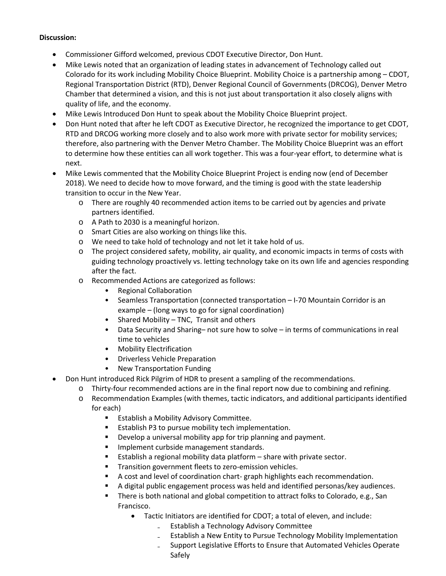- Commissioner Gifford welcomed, previous CDOT Executive Director, Don Hunt.
- Mike Lewis noted that an organization of leading states in advancement of Technology called out Colorado for its work including Mobility Choice Blueprint. Mobility Choice is a partnership among – CDOT, Regional Transportation District (RTD), Denver Regional Council of Governments (DRCOG), Denver Metro Chamber that determined a vision, and this is not just about transportation it also closely aligns with quality of life, and the economy.
- Mike Lewis Introduced Don Hunt to speak about the Mobility Choice Blueprint project.
- Don Hunt noted that after he left CDOT as Executive Director, he recognized the importance to get CDOT, RTD and DRCOG working more closely and to also work more with private sector for mobility services; therefore, also partnering with the Denver Metro Chamber. The Mobility Choice Blueprint was an effort to determine how these entities can all work together. This was a four-year effort, to determine what is next.
- Mike Lewis commented that the Mobility Choice Blueprint Project is ending now (end of December 2018). We need to decide how to move forward, and the timing is good with the state leadership transition to occur in the New Year.
	- o There are roughly 40 recommended action items to be carried out by agencies and private partners identified.
	- o A Path to 2030 is a meaningful horizon.
	- o Smart Cities are also working on things like this.
	- o We need to take hold of technology and not let it take hold of us.
	- o The project considered safety, mobility, air quality, and economic impacts in terms of costs with guiding technology proactively vs. letting technology take on its own life and agencies responding after the fact.
	- o Recommended Actions are categorized as follows:
		- Regional Collaboration
		- Seamless Transportation (connected transportation I-70 Mountain Corridor is an example – (long ways to go for signal coordination)
		- Shared Mobility TNC, Transit and others
		- Data Security and Sharing– not sure how to solve in terms of communications in real time to vehicles
		- Mobility Electrification
		- Driverless Vehicle Preparation
		- New Transportation Funding
- Don Hunt introduced Rick Pilgrim of HDR to present a sampling of the recommendations.
	- o Thirty-four recommended actions are in the final report now due to combining and refining.
	- o Recommendation Examples (with themes, tactic indicators, and additional participants identified for each)
		- **Establish a Mobility Advisory Committee.**
		- **Establish P3 to pursue mobility tech implementation.**
		- **Develop a universal mobility app for trip planning and payment.**
		- **Implement curbside management standards.**
		- Establish a regional mobility data platform share with private sector.
		- **Transition government fleets to zero-emission vehicles.**
		- A cost and level of coordination chart- graph highlights each recommendation.
		- A digital public engagement process was held and identified personas/key audiences.
		- There is both national and global competition to attract folks to Colorado, e.g., San Francisco.
			- Tactic Initiators are identified for CDOT; a total of eleven, and include:
				- ₋ Establish a Technology Advisory Committee
				- ₋ Establish a New Entity to Pursue Technology Mobility Implementation
				- ₋ Support Legislative Efforts to Ensure that Automated Vehicles Operate Safely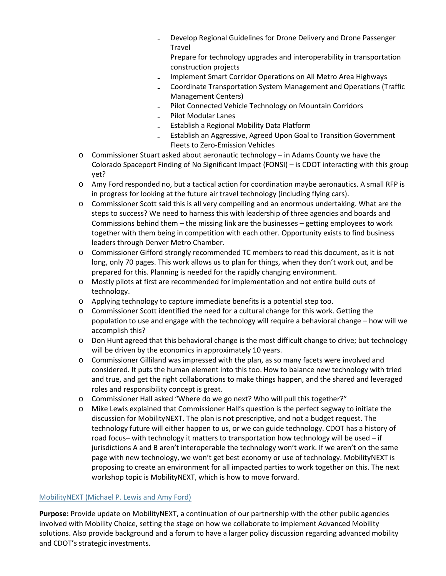- ₋ Develop Regional Guidelines for Drone Delivery and Drone Passenger Travel
- ₋ Prepare for technology upgrades and interoperability in transportation construction projects
- ₋ Implement Smart Corridor Operations on All Metro Area Highways
- ₋ Coordinate Transportation System Management and Operations (Traffic Management Centers)
- ₋ Pilot Connected Vehicle Technology on Mountain Corridors
- ₋ Pilot Modular Lanes
- ₋ Establish a Regional Mobility Data Platform
- ₋ Establish an Aggressive, Agreed Upon Goal to Transition Government Fleets to Zero-Emission Vehicles
- o Commissioner Stuart asked about aeronautic technology in Adams County we have the Colorado Spaceport Finding of No Significant Impact (FONSI) – is CDOT interacting with this group yet?
- o Amy Ford responded no, but a tactical action for coordination maybe aeronautics. A small RFP is in progress for looking at the future air travel technology (including flying cars).
- o Commissioner Scott said this is all very compelling and an enormous undertaking. What are the steps to success? We need to harness this with leadership of three agencies and boards and Commissions behind them – the missing link are the businesses – getting employees to work together with them being in competition with each other. Opportunity exists to find business leaders through Denver Metro Chamber.
- o Commissioner Gifford strongly recommended TC members to read this document, as it is not long, only 70 pages. This work allows us to plan for things, when they don't work out, and be prepared for this. Planning is needed for the rapidly changing environment.
- o Mostly pilots at first are recommended for implementation and not entire build outs of technology.
- o Applying technology to capture immediate benefits is a potential step too.
- o Commissioner Scott identified the need for a cultural change for this work. Getting the population to use and engage with the technology will require a behavioral change – how will we accomplish this?
- o Don Hunt agreed that this behavioral change is the most difficult change to drive; but technology will be driven by the economics in approximately 10 years.
- o Commissioner Gilliland was impressed with the plan, as so many facets were involved and considered. It puts the human element into this too. How to balance new technology with tried and true, and get the right collaborations to make things happen, and the shared and leveraged roles and responsibility concept is great.
- o Commissioner Hall asked "Where do we go next? Who will pull this together?"
- o Mike Lewis explained that Commissioner Hall's question is the perfect segway to initiate the discussion for MobilityNEXT. The plan is not prescriptive, and not a budget request. The technology future will either happen to us, or we can guide technology. CDOT has a history of road focus– with technology it matters to transportation how technology will be used  $-$  if jurisdictions A and B aren't interoperable the technology won't work. If we aren't on the same page with new technology, we won't get best economy or use of technology. MobilityNEXT is proposing to create an environment for all impacted parties to work together on this. The next workshop topic is MobilityNEXT, which is how to move forward.

### MobilityNEXT [\(Michael P. Lewis and Amy Ford\)](https://www.codot.gov/about/transportation-commission/documents/2018-agendas-and-supporting-documents/december-2018/5-mobility-next-and-tech-discussion.pdf)

**Purpose:** Provide update on MobilityNEXT, a continuation of our partnership with the other public agencies involved with Mobility Choice, setting the stage on how we collaborate to implement Advanced Mobility solutions. Also provide background and a forum to have a larger policy discussion regarding advanced mobility and CDOT's strategic investments.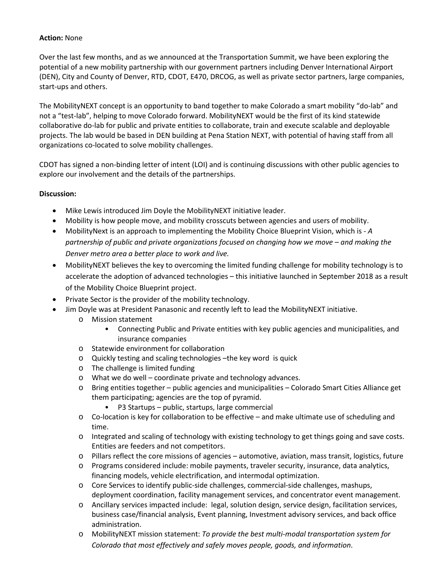### **Action:** None

Over the last few months, and as we announced at the Transportation Summit, we have been exploring the potential of a new mobility partnership with our government partners including Denver International Airport (DEN), City and County of Denver, RTD, CDOT, E470, DRCOG, as well as private sector partners, large companies, start-ups and others.

The MobilityNEXT concept is an opportunity to band together to make Colorado a smart mobility "do-lab" and not a "test-lab", helping to move Colorado forward. MobilityNEXT would be the first of its kind statewide collaborative do-lab for public and private entities to collaborate, train and execute scalable and deployable projects. The lab would be based in DEN building at Pena Station NEXT, with potential of having staff from all organizations co-located to solve mobility challenges.

CDOT has signed a non-binding letter of intent (LOI) and is continuing discussions with other public agencies to explore our involvement and the details of the partnerships.

- Mike Lewis introduced Jim Doyle the MobilityNEXT initiative leader.
- Mobility is how people move, and mobility crosscuts between agencies and users of mobility.
- MobilityNext is an approach to implementing the Mobility Choice Blueprint Vision, which is *A partnership of public and private organizations focused on changing how we move – and making the Denver metro area a better place to work and live.*
- MobilityNEXT believes the key to overcoming the limited funding challenge for mobility technology is to accelerate the adoption of advanced technologies – this initiative launched in September 2018 as a result of the Mobility Choice Blueprint project.
- Private Sector is the provider of the mobility technology.
	- Jim Doyle was at President Panasonic and recently left to lead the MobilityNEXT initiative.
		- o Mission statement
			- Connecting Public and Private entities with key public agencies and municipalities, and insurance companies
		- o Statewide environment for collaboration
		- o Quickly testing and scaling technologies –the key word is quick
		- o The challenge is limited funding
		- o What we do well coordinate private and technology advances.
		- o Bring entities together public agencies and municipalities Colorado Smart Cities Alliance get them participating; agencies are the top of pyramid.
			- P3 Startups public, startups, large commercial
		- o Co-location is key for collaboration to be effective and make ultimate use of scheduling and time.
		- o Integrated and scaling of technology with existing technology to get things going and save costs. Entities are feeders and not competitors.
		- o Pillars reflect the core missions of agencies automotive, aviation, mass transit, logistics, future
		- o Programs considered include: mobile payments, traveler security, insurance, data analytics, financing models, vehicle electrification, and intermodal optimization.
		- o Core Services to identify public-side challenges, commercial-side challenges, mashups, deployment coordination, facility management services, and concentrator event management.
		- o Ancillary services impacted include: legal, solution design, service design, facilitation services, business case/financial analysis, Event planning, Investment advisory services, and back office administration.
		- o MobilityNEXT mission statement: *To provide the best multi-modal transportation system for Colorado that most effectively and safely moves people, goods, and information*.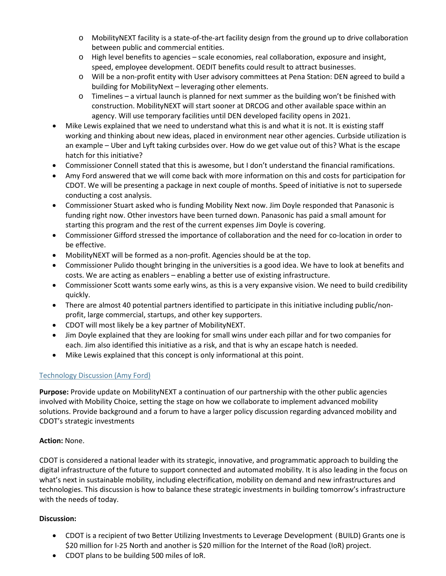- o MobilityNEXT facility is a state-of-the-art facility design from the ground up to drive collaboration between public and commercial entities.
- o High level benefits to agencies scale economies, real collaboration, exposure and insight, speed, employee development. OEDIT benefits could result to attract businesses.
- o Will be a non-profit entity with User advisory committees at Pena Station: DEN agreed to build a building for MobilityNext – leveraging other elements.
- o Timelines a virtual launch is planned for next summer as the building won't be finished with construction. MobilityNEXT will start sooner at DRCOG and other available space within an agency. Will use temporary facilities until DEN developed facility opens in 2021.
- Mike Lewis explained that we need to understand what this is and what it is not. It is existing staff working and thinking about new ideas, placed in environment near other agencies. Curbside utilization is an example – Uber and Lyft taking curbsides over. How do we get value out of this? What is the escape hatch for this initiative?
- Commissioner Connell stated that this is awesome, but I don't understand the financial ramifications.
- Amy Ford answered that we will come back with more information on this and costs for participation for CDOT. We will be presenting a package in next couple of months. Speed of initiative is not to supersede conducting a cost analysis.
- Commissioner Stuart asked who is funding Mobility Next now. Jim Doyle responded that Panasonic is funding right now. Other investors have been turned down. Panasonic has paid a small amount for starting this program and the rest of the current expenses Jim Doyle is covering.
- Commissioner Gifford stressed the importance of collaboration and the need for co-location in order to be effective.
- MobilityNEXT will be formed as a non-profit. Agencies should be at the top.
- Commissioner Pulido thought bringing in the universities is a good idea. We have to look at benefits and costs. We are acting as enablers – enabling a better use of existing infrastructure.
- Commissioner Scott wants some early wins, as this is a very expansive vision. We need to build credibility quickly.
- There are almost 40 potential partners identified to participate in this initiative including public/nonprofit, large commercial, startups, and other key supporters.
- CDOT will most likely be a key partner of MobilityNEXT.
- Jim Doyle explained that they are looking for small wins under each pillar and for two companies for each. Jim also identified this initiative as a risk, and that is why an escape hatch is needed.
- Mike Lewis explained that this concept is only informational at this point.

## [Technology Discussion \(Amy Ford\)](https://www.codot.gov/about/transportation-commission/documents/2018-agendas-and-supporting-documents/december-2018/5-mobility-next-and-tech-discussion.pdf)

**Purpose:** Provide update on MobilityNEXT a continuation of our partnership with the other public agencies involved with Mobility Choice, setting the stage on how we collaborate to implement advanced mobility solutions. Provide background and a forum to have a larger policy discussion regarding advanced mobility and CDOT's strategic investments

## **Action:** None.

CDOT is considered a national leader with its strategic, innovative, and programmatic approach to building the digital infrastructure of the future to support connected and automated mobility. It is also leading in the focus on what's next in sustainable mobility, including electrification, mobility on demand and new infrastructures and technologies. This discussion is how to balance these strategic investments in building tomorrow's infrastructure with the needs of today.

- CDOT is a recipient of two Better Utilizing Investments to Leverage Development (BUILD) Grants one is \$20 million for I-25 North and another is \$20 million for the Internet of the Road (IoR) project.
- CDOT plans to be building 500 miles of IoR.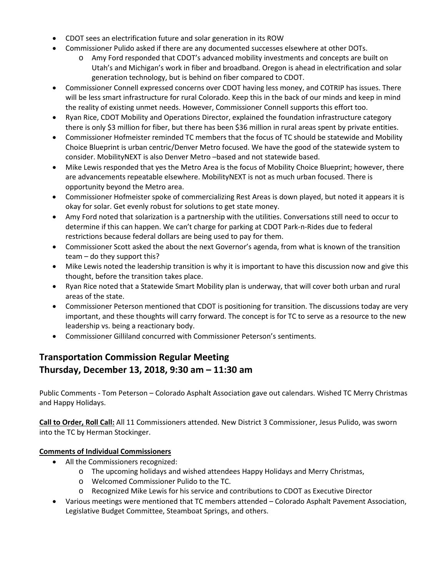- CDOT sees an electrification future and solar generation in its ROW
- Commissioner Pulido asked if there are any documented successes elsewhere at other DOTs.
	- o Amy Ford responded that CDOT's advanced mobility investments and concepts are built on Utah's and Michigan's work in fiber and broadband. Oregon is ahead in electrification and solar generation technology, but is behind on fiber compared to CDOT.
- Commissioner Connell expressed concerns over CDOT having less money, and COTRIP has issues. There will be less smart infrastructure for rural Colorado. Keep this in the back of our minds and keep in mind the reality of existing unmet needs. However, Commissioner Connell supports this effort too.
- Ryan Rice, CDOT Mobility and Operations Director, explained the foundation infrastructure category there is only \$3 million for fiber, but there has been \$36 million in rural areas spent by private entities.
- Commissioner Hofmeister reminded TC members that the focus of TC should be statewide and Mobility Choice Blueprint is urban centric/Denver Metro focused. We have the good of the statewide system to consider. MobilityNEXT is also Denver Metro –based and not statewide based.
- Mike Lewis responded that yes the Metro Area is the focus of Mobility Choice Blueprint; however, there are advancements repeatable elsewhere. MobilityNEXT is not as much urban focused. There is opportunity beyond the Metro area.
- Commissioner Hofmeister spoke of commercializing Rest Areas is down played, but noted it appears it is okay for solar. Get evenly robust for solutions to get state money.
- Amy Ford noted that solarization is a partnership with the utilities. Conversations still need to occur to determine if this can happen. We can't charge for parking at CDOT Park-n-Rides due to federal restrictions because federal dollars are being used to pay for them.
- Commissioner Scott asked the about the next Governor's agenda, from what is known of the transition team – do they support this?
- Mike Lewis noted the leadership transition is why it is important to have this discussion now and give this thought, before the transition takes place.
- Ryan Rice noted that a Statewide Smart Mobility plan is underway, that will cover both urban and rural areas of the state.
- Commissioner Peterson mentioned that CDOT is positioning for transition. The discussions today are very important, and these thoughts will carry forward. The concept is for TC to serve as a resource to the new leadership vs. being a reactionary body.
- Commissioner Gilliland concurred with Commissioner Peterson's sentiments.

# **Transportation Commission Regular Meeting Thursday, December 13, 2018, 9:30 am – 11:30 am**

Public Comments - Tom Peterson – Colorado Asphalt Association gave out calendars. Wished TC Merry Christmas and Happy Holidays.

**Call to Order, Roll Call:** All 11 Commissioners attended. New District 3 Commissioner, Jesus Pulido, was sworn into the TC by Herman Stockinger.

# **Comments of Individual Commissioners**

- All the Commissioners recognized:
	- o The upcoming holidays and wished attendees Happy Holidays and Merry Christmas,
	- o Welcomed Commissioner Pulido to the TC.
	- o Recognized Mike Lewis for his service and contributions to CDOT as Executive Director
- Various meetings were mentioned that TC members attended Colorado Asphalt Pavement Association, Legislative Budget Committee, Steamboat Springs, and others.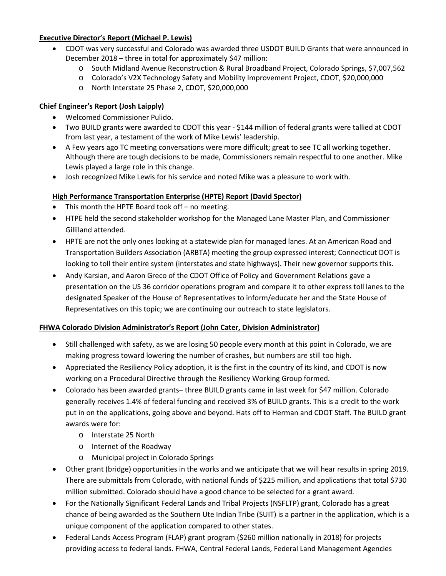# **Executive Director's Report (Michael P. Lewis)**

- CDOT was very successful and Colorado was awarded three USDOT BUILD Grants that were announced in December 2018 – three in total for approximately \$47 million:
	- o South Midland Avenue Reconstruction & Rural Broadband Project, Colorado Springs, \$7,007,562
	- o Colorado's V2X Technology Safety and Mobility Improvement Project, CDOT, \$20,000,000
	- o North Interstate 25 Phase 2, CDOT, \$20,000,000

# **Chief Engineer's Report (Josh Laipply)**

- Welcomed Commissioner Pulido.
- Two BUILD grants were awarded to CDOT this year \$144 million of federal grants were tallied at CDOT from last year, a testament of the work of Mike Lewis' leadership.
- A Few years ago TC meeting conversations were more difficult; great to see TC all working together. Although there are tough decisions to be made, Commissioners remain respectful to one another. Mike Lewis played a large role in this change.
- Josh recognized Mike Lewis for his service and noted Mike was a pleasure to work with.

# **High Performance Transportation Enterprise (HPTE) Report (David Spector)**

- This month the HPTE Board took off no meeting.
- HTPE held the second stakeholder workshop for the Managed Lane Master Plan, and Commissioner Gilliland attended.
- HPTE are not the only ones looking at a statewide plan for managed lanes. At an American Road and Transportation Builders Association (ARBTA) meeting the group expressed interest; Connecticut DOT is looking to toll their entire system (interstates and state highways). Their new governor supports this.
- Andy Karsian, and Aaron Greco of the CDOT Office of Policy and Government Relations gave a presentation on the US 36 corridor operations program and compare it to other express toll lanes to the designated Speaker of the House of Representatives to inform/educate her and the State House of Representatives on this topic; we are continuing our outreach to state legislators.

## **FHWA Colorado Division Administrator's Report (John Cater, Division Administrator)**

- Still challenged with safety, as we are losing 50 people every month at this point in Colorado, we are making progress toward lowering the number of crashes, but numbers are still too high.
- Appreciated the Resiliency Policy adoption, it is the first in the country of its kind, and CDOT is now working on a Procedural Directive through the Resiliency Working Group formed.
- Colorado has been awarded grants– three BUILD grants came in last week for \$47 million. Colorado generally receives 1.4% of federal funding and received 3% of BUILD grants. This is a credit to the work put in on the applications, going above and beyond. Hats off to Herman and CDOT Staff. The BUILD grant awards were for:
	- o Interstate 25 North
	- o Internet of the Roadway
	- o Municipal project in Colorado Springs
- Other grant (bridge) opportunities in the works and we anticipate that we will hear results in spring 2019. There are submittals from Colorado, with national funds of \$225 million, and applications that total \$730 million submitted. Colorado should have a good chance to be selected for a grant award.
- For the Nationally Significant Federal Lands and Tribal Projects (NSFLTP) grant, Colorado has a great chance of being awarded as the Southern Ute Indian Tribe (SUIT) is a partner in the application, which is a unique component of the application compared to other states.
- Federal Lands Access Program (FLAP) grant program (\$260 million nationally in 2018) for projects providing access to federal lands. FHWA, Central Federal Lands, Federal Land Management Agencies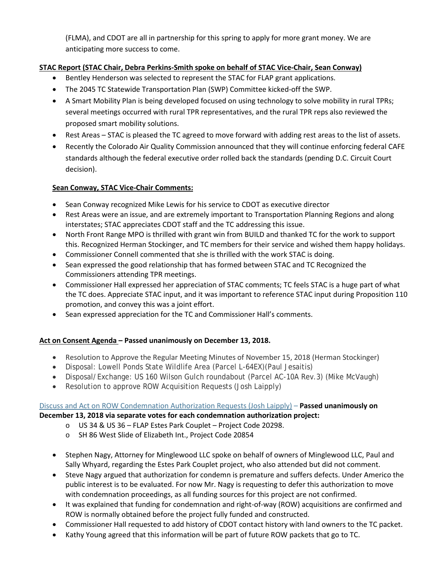(FLMA), and CDOT are all in partnership for this spring to apply for more grant money. We are anticipating more success to come.

# **STAC Report (STAC Chair, Debra Perkins-Smith spoke on behalf of STAC Vice-Chair, Sean Conway)**

- Bentley Henderson was selected to represent the STAC for FLAP grant applications.
- The 2045 TC Statewide Transportation Plan (SWP) Committee kicked-off the SWP.
- A Smart Mobility Plan is being developed focused on using technology to solve mobility in rural TPRs; several meetings occurred with rural TPR representatives, and the rural TPR reps also reviewed the proposed smart mobility solutions.
- Rest Areas STAC is pleased the TC agreed to move forward with adding rest areas to the list of assets.
- Recently the Colorado Air Quality Commission announced that they will continue enforcing federal CAFE standards although the federal executive order rolled back the standards (pending D.C. Circuit Court decision).

## **Sean Conway, STAC Vice-Chair Comments:**

- Sean Conway recognized Mike Lewis for his service to CDOT as executive director
- Rest Areas were an issue, and are extremely important to Transportation Planning Regions and along interstates; STAC appreciates CDOT staff and the TC addressing this issue.
- North Front Range MPO is thrilled with grant win from BUILD and thanked TC for the work to support this. Recognized Herman Stockinger, and TC members for their service and wished them happy holidays.
- Commissioner Connell commented that she is thrilled with the work STAC is doing.
- Sean expressed the good relationship that has formed between STAC and TC Recognized the Commissioners attending TPR meetings.
- Commissioner Hall expressed her appreciation of STAC comments; TC feels STAC is a huge part of what the TC does. Appreciate STAC input, and it was important to reference STAC input during Proposition 110 promotion, and convey this was a joint effort.
- Sean expressed appreciation for the TC and Commissioner Hall's comments.

## **Act on Consent Agenda – Passed unanimously on December 13, 2018.**

- Resolution to Approve the Regular Meeting Minutes of November 15, 2018 (Herman Stockinger)
- Disposal: Lowell Ponds State Wildlife Area (Parcel L-64EX)(Paul Jesaitis)
- Disposal/Exchange: US 160 Wilson Gulch roundabout (Parcel AC-10A Rev.3) (Mike McVaugh)
- Resolution to approve ROW Acquisition Requests (Josh Laipply)

# Discuss and [Act on ROW Condemnation Authorization Requests \(Josh Laipply\)](https://www.codot.gov/about/transportation-commission/documents/2018-agendas-and-supporting-documents/december-2018/row-with-exhibits/b-condemnations.pdf) – **Passed unanimously on**

## **December 13, 2018 via separate votes for each condemnation authorization project:**

- o US 34 & US 36 FLAP Estes Park Couplet Project Code 20298.
- o SH 86 West Slide of Elizabeth Int., Project Code 20854
- Stephen Nagy, Attorney for Minglewood LLC spoke on behalf of owners of Minglewood LLC, Paul and Sally Whyard, regarding the Estes Park Couplet project, who also attended but did not comment.
- Steve Nagy argued that authorization for condemn is premature and suffers defects. Under Americo the public interest is to be evaluated. For now Mr. Nagy is requesting to defer this authorization to move with condemnation proceedings, as all funding sources for this project are not confirmed.
- It was explained that funding for condemnation and right-of-way (ROW) acquisitions are confirmed and ROW is normally obtained before the project fully funded and constructed.
- Commissioner Hall requested to add history of CDOT contact history with land owners to the TC packet.
- Kathy Young agreed that this information will be part of future ROW packets that go to TC.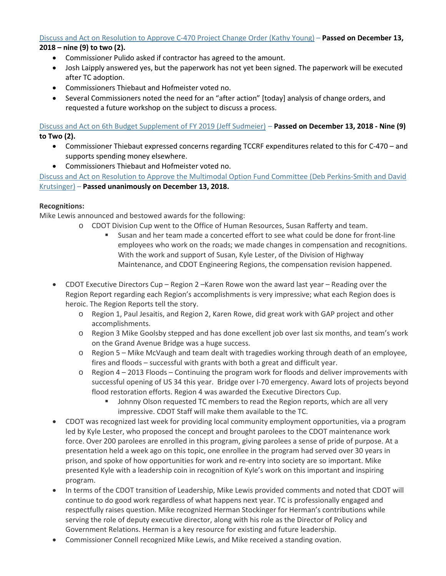### [Discuss and Act on Resolution to Approve C-470 Project Change Order](https://www.codot.gov/about/transportation-commission/documents/2018-agendas-and-supporting-documents/december-2018/7-c-470-change-order.pdf) (Kathy Young) – **Passed on December 13, 2018 – nine (9) to two (2).**

- Commissioner Pulido asked if contractor has agreed to the amount.
- Josh Laipply answered yes, but the paperwork has not yet been signed. The paperwork will be executed after TC adoption.
- Commissioners Thiebaut and Hofmeister voted no.
- Several Commissioners noted the need for an "after action" [today] analysis of change orders, and requested a future workshop on the subject to discuss a process.

# [Discuss and Act on 6th Budget Supplement of FY 2019](https://www.codot.gov/about/transportation-commission/documents/2018-agendas-and-supporting-documents/december-2018/8-budget-sup.pdf) (Jeff Sudmeier) – **Passed on December 13, 2018 - Nine (9) to Two (2).**

- Commissioner Thiebaut expressed concerns regarding TCCRF expenditures related to this for C-470 and supports spending money elsewhere.
- Commissioners Thiebaut and Hofmeister voted no.

[Discuss and Act on Resolution to Approve the Multimodal Option Fund Committee \(Deb Perkins-Smith and David](https://www.codot.gov/about/transportation-commission/documents/2018-agendas-and-supporting-documents/december-2018/2-multimodal-option-fund.pdf)  [Krutsinger\)](https://www.codot.gov/about/transportation-commission/documents/2018-agendas-and-supporting-documents/december-2018/2-multimodal-option-fund.pdf) – **Passed unanimously on December 13, 2018.**

## **Recognitions:**

Mike Lewis announced and bestowed awards for the following:

- o CDOT Division Cup went to the Office of Human Resources, Susan Rafferty and team.<br>Susan and her team made a concerted effort to see what could be done for free.
	- Susan and her team made a concerted effort to see what could be done for front-line employees who work on the roads; we made changes in compensation and recognitions. With the work and support of Susan, Kyle Lester, of the Division of Highway Maintenance, and CDOT Engineering Regions, the compensation revision happened.
- CDOT Executive Directors Cup Region 2 –Karen Rowe won the award last year Reading over the Region Report regarding each Region's accomplishments is very impressive; what each Region does is heroic. The Region Reports tell the story.
	- o Region 1, Paul Jesaitis, and Region 2, Karen Rowe, did great work with GAP project and other accomplishments.
	- o Region 3 Mike Goolsby stepped and has done excellent job over last six months, and team's work on the Grand Avenue Bridge was a huge success.
	- o Region 5 Mike McVaugh and team dealt with tragedies working through death of an employee, fires and floods – successful with grants with both a great and difficult year.
	- $\circ$  Region 4 2013 Floods Continuing the program work for floods and deliver improvements with successful opening of US 34 this year. Bridge over I-70 emergency. Award lots of projects beyond flood restoration efforts. Region 4 was awarded the Executive Directors Cup.
		- Johnny Olson requested TC members to read the Region reports, which are all very impressive. CDOT Staff will make them available to the TC.
- CDOT was recognized last week for providing local community employment opportunities, via a program led by Kyle Lester, who proposed the concept and brought parolees to the CDOT maintenance work force. Over 200 parolees are enrolled in this program, giving parolees a sense of pride of purpose. At a presentation held a week ago on this topic, one enrollee in the program had served over 30 years in prison, and spoke of how opportunities for work and re-entry into society are so important. Mike presented Kyle with a leadership coin in recognition of Kyle's work on this important and inspiring program.
- In terms of the CDOT transition of Leadership, Mike Lewis provided comments and noted that CDOT will continue to do good work regardless of what happens next year. TC is professionally engaged and respectfully raises question. Mike recognized Herman Stockinger for Herman's contributions while serving the role of deputy executive director, along with his role as the Director of Policy and Government Relations. Herman is a key resource for existing and future leadership.
- Commissioner Connell recognized Mike Lewis, and Mike received a standing ovation.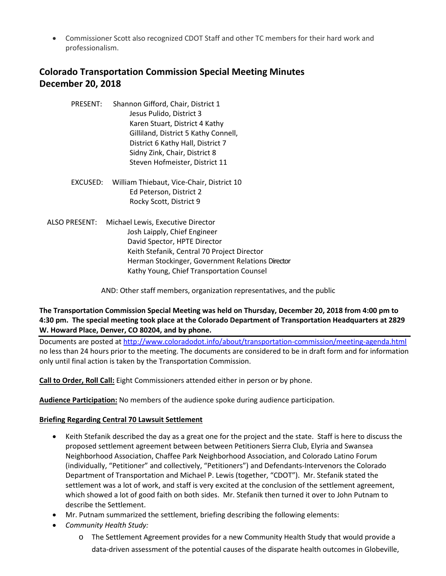• Commissioner Scott also recognized CDOT Staff and other TC members for their hard work and professionalism.

# **Colorado Transportation Commission Special Meeting Minutes December 20, 2018**

- PRESENT: Shannon Gifford, Chair, District 1 Jesus Pulido, District 3 Karen Stuart, District 4 Kathy Gilliland, District 5 Kathy Connell, District 6 Kathy Hall, District 7 Sidny Zink, Chair, District 8 Steven Hofmeister, District 11
- EXCUSED: William Thiebaut, Vice-Chair, District 10 Ed Peterson, District 2 Rocky Scott, District 9
- ALSO PRESENT: Michael Lewis, Executive Director Josh Laipply, Chief Engineer David Spector, HPTE Director Keith Stefanik, Central 70 Project Director Herman Stockinger, Government Relations Director Kathy Young, Chief Transportation Counsel

AND: Other staff members, organization representatives, and the public

## **The Transportation Commission Special Meeting was held on Thursday, December 20, 2018 from 4:00 pm to 4:30 pm. The special meeting took place at the Colorado Department of Transportation Headquarters at 2829 W. Howard Place, Denver, CO 80204, and by phone.**

Documents are posted at http://www.coloradodot.info/about/transportation-commission/meeting-agenda.html no less than 24 hours prior to the meeting. The documents are considered to be in draft form and for information only until final action is taken by the Transportation Commission.

**Call to Order, Roll Call:** Eight Commissioners attended either in person or by phone.

**Audience Participation:** No members of the audience spoke during audience participation.

## **Briefing Regarding Central 70 Lawsuit Settlement**

- Keith Stefanik described the day as a great one for the project and the state. Staff is here to discuss the proposed settlement agreement between between Petitioners Sierra Club, Elyria and Swansea Neighborhood Association, Chaffee Park Neighborhood Association, and Colorado Latino Forum (individually, "Petitioner" and collectively, "Petitioners") and Defendants-Intervenors the Colorado Department of Transportation and Michael P. Lewis (together, "CDOT"). Mr. Stefanik stated the settlement was a lot of work, and staff is very excited at the conclusion of the settlement agreement, which showed a lot of good faith on both sides. Mr. Stefanik then turned it over to John Putnam to describe the Settlement.
- Mr. Putnam summarized the settlement, briefing describing the following elements:
- *Community Health Study:* 
	- o The Settlement Agreement provides for a new Community Health Study that would provide a data-driven assessment of the potential causes of the disparate health outcomes in Globeville,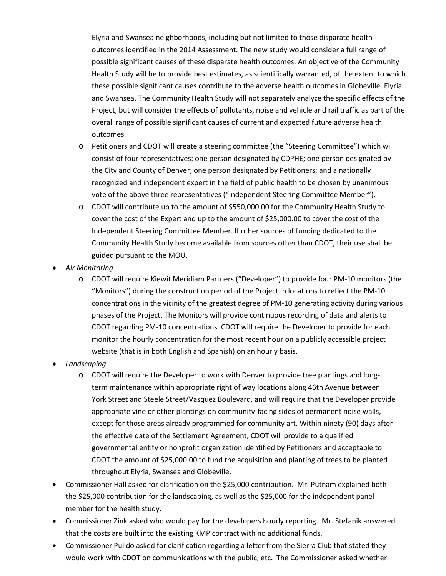Elyria and Swansea neighborhoods, including but not limited to those disparate health outcomes identified in the 2014 Assessment. The new study would consider a full range of possible significant causes of these disparate health outcomes. An objective of the Community Health Study will be to provide best estimates, as scientifically warranted, of the extent to which these possible significant causes contribute to the adverse health outcomes in Globeville, Elyria and Swansea. The Community Health Study will not separately analyze the specific effects of the Project, but will consider the effects of pollutants, noise and vehicle and rail traffic as part of the overall range of possible significant causes of current and expected future adverse health outcomes.

- o Petitioners and CDOT will create a steering committee (the "Steering Committee") which will consist of four representatives: one person designated by CDPHE; one person designated by the City and County of Denver; one person designated by Petitioners; and a nationally recognized and independent expert in the field of public health to be chosen by unanimous vote of the above three representatives ("Independent Steering Committee Member").
- o CDOT will contribute up to the amount of \$550,000.00 for the Community Health Study to cover the cost of the Expert and up to the amount of \$25,000.00 to cover the cost of the Independent Steering Committee Member. If other sources of funding dedicated to the Community Health Study become available from sources other than CDOT, their use shall be guided pursuant to the MOU.
- *Air Monitoring*
	- o CDOT will require Kiewit Meridiam Partners ("Developer") to provide four PM-10 monitors (the "Monitors") during the construction period of the Project in locations to reflect the PM-10 concentrations in the vicinity of the greatest degree of PM-10 generating activity during various phases of the Project. The Monitors will provide continuous recording of data and alerts to CDOT regarding PM-10 concentrations. CDOT will require the Developer to provide for each monitor the hourly concentration for the most recent hour on a publicly accessible project website (that is in both English and Spanish) on an hourly basis.
- *Landscaping*
	- o CDOT will require the Developer to work with Denver to provide tree plantings and longterm maintenance within appropriate right of way locations along 46th Avenue between York Street and Steele Street/Vasquez Boulevard, and will require that the Developer provide appropriate vine or other plantings on community-facing sides of permanent noise walls, except for those areas already programmed for community art. Within ninety (90) days after the effective date of the Settlement Agreement, CDOT will provide to a qualified governmental entity or nonprofit organization identified by Petitioners and acceptable to CDOT the amount of \$25,000.00 to fund the acquisition and planting of trees to be planted throughout Elyria, Swansea and Globeville.
- Commissioner Hall asked for clarification on the \$25,000 contribution. Mr. Putnam explained both the \$25,000 contribution for the landscaping, as well as the \$25,000 for the independent panel member for the health study.
- Commissioner Zink asked who would pay for the developers hourly reporting. Mr. Stefanik answered that the costs are built into the existing KMP contract with no additional funds.
- Commissioner Pulido asked for clarification regarding a letter from the Sierra Club that stated they would work with CDOT on communications with the public, etc. The Commissioner asked whether